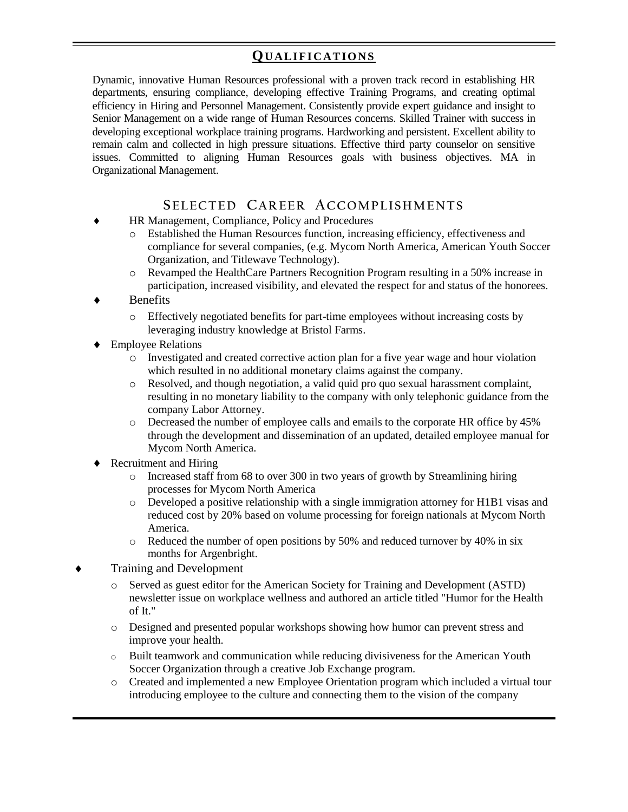## **QU A L I F I C A T I O N S**

Dynamic, innovative Human Resources professional with a proven track record in establishing HR departments, ensuring compliance, developing effective Training Programs, and creating optimal efficiency in Hiring and Personnel Management. Consistently provide expert guidance and insight to Senior Management on a wide range of Human Resources concerns. Skilled Trainer with success in developing exceptional workplace training programs. Hardworking and persistent. Excellent ability to remain calm and collected in high pressure situations. Effective third party counselor on sensitive issues. Committed to aligning Human Resources goals with business objectives. MA in Organizational Management.

### **SE L E C T E D CA R E E R AC C O M P L I S H M E N T S**

- HR Management, Compliance, Policy and Procedures
	- o Established the Human Resources function, increasing efficiency, effectiveness and compliance for several companies, (e.g. Mycom North America, American Youth Soccer Organization, and Titlewave Technology).
	- o Revamped the HealthCare Partners Recognition Program resulting in a 50% increase in participation, increased visibility, and elevated the respect for and status of the honorees.
- Benefits
	- o Effectively negotiated benefits for part-time employees without increasing costs by leveraging industry knowledge at Bristol Farms.
- ◆ Employee Relations
	- o Investigated and created corrective action plan for a five year wage and hour violation which resulted in no additional monetary claims against the company.
	- o Resolved, and though negotiation, a valid quid pro quo sexual harassment complaint, resulting in no monetary liability to the company with only telephonic guidance from the company Labor Attorney.
	- o Decreased the number of employee calls and emails to the corporate HR office by 45% through the development and dissemination of an updated, detailed employee manual for Mycom North America.
- Recruitment and Hiring
	- o Increased staff from 68 to over 300 in two years of growth by Streamlining hiring processes for Mycom North America
	- o Developed a positive relationship with a single immigration attorney for H1B1 visas and reduced cost by 20% based on volume processing for foreign nationals at Mycom North America.
	- o Reduced the number of open positions by 50% and reduced turnover by 40% in six months for Argenbright.
- Training and Development
	- o Served as guest editor for the American Society for Training and Development (ASTD) newsletter issue on workplace wellness and authored an article titled "Humor for the Health of It."
	- o Designed and presented popular workshops showing how humor can prevent stress and improve your health.
	- o Built teamwork and communication while reducing divisiveness for the American Youth Soccer Organization through a creative Job Exchange program.
	- o Created and implemented a new Employee Orientation program which included a virtual tour introducing employee to the culture and connecting them to the vision of the company